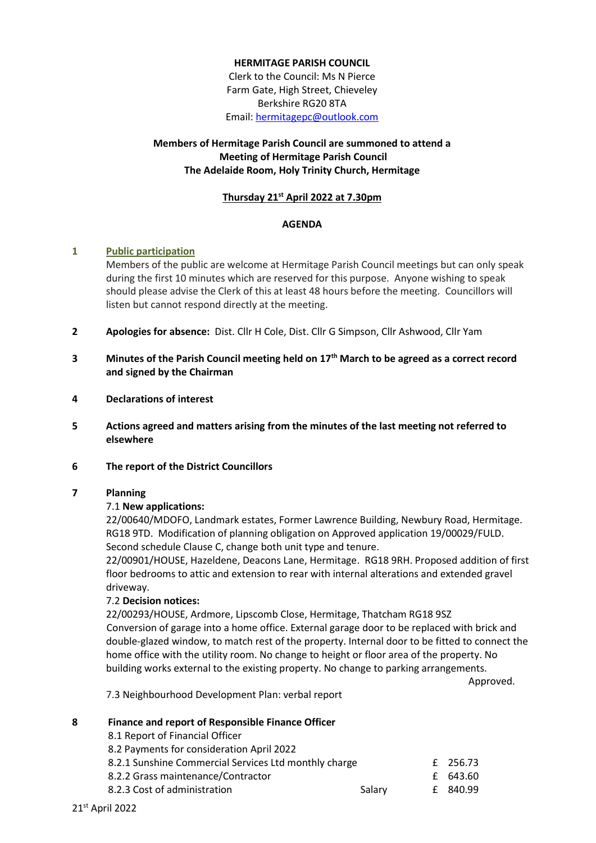## **HERMITAGE PARISH COUNCIL**

Clerk to the Council: Ms N Pierce Farm Gate, High Street, Chieveley Berkshire RG20 8TA Email[: hermitagepc@outlook.com](mailto:hermitagepc@outlook.com)

# **Members of Hermitage Parish Council are summoned to attend a Meeting of Hermitage Parish Council The Adelaide Room, Holy Trinity Church, Hermitage**

# **Thursday 21st April 2022 at 7.30pm**

#### **AGENDA**

# **1 Public participation**

Members of the public are welcome at Hermitage Parish Council meetings but can only speak during the first 10 minutes which are reserved for this purpose. Anyone wishing to speak should please advise the Clerk of this at least 48 hours before the meeting. Councillors will listen but cannot respond directly at the meeting.

- **2 Apologies for absence:** Dist. Cllr H Cole, Dist. Cllr G Simpson, Cllr Ashwood, Cllr Yam
- **3 Minutes of the Parish Council meeting held on 17th March to be agreed as a correct record and signed by the Chairman**
- **4 Declarations of interest**
- **5 Actions agreed and matters arising from the minutes of the last meeting not referred to elsewhere**
- **6 The report of the District Councillors**

# **7 Planning**

#### 7.1 **New applications:**

22/00640/MDOFO, Landmark estates, Former Lawrence Building, Newbury Road, Hermitage. RG18 9TD. Modification of planning obligation on Approved application 19/00029/FULD. Second schedule Clause C, change both unit type and tenure.

22/00901/HOUSE, Hazeldene, Deacons Lane, Hermitage. RG18 9RH. Proposed addition of first floor bedrooms to attic and extension to rear with internal alterations and extended gravel driveway.

## 7.2 **Decision notices:**

22/00293/HOUSE, Ardmore, Lipscomb Close, Hermitage, Thatcham RG18 9SZ Conversion of garage into a home office. External garage door to be replaced with brick and double-glazed window, to match rest of the property. Internal door to be fitted to connect the home office with the utility room. No change to height or floor area of the property. No building works external to the existing property. No change to parking arrangements.

Approved.

7.3 Neighbourhood Development Plan: verbal report

#### **8 Finance and report of Responsible Finance Officer**

- 8.1 Report of Financial Officer
- 8.2 Payments for consideration April 2022
- 8.2.1 Sunshine Commercial Services Ltd monthly charge F 256.73 8.2.2 Grass maintenance/Contractor <br>
E 643.60
- 8.2.3 Cost of administration by Salary 5.2.3 Cost of administration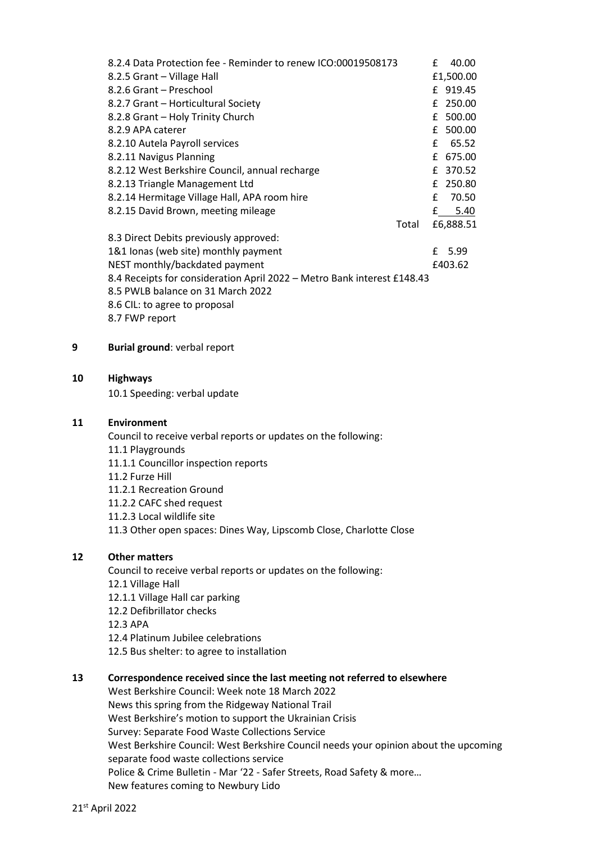| 8.2.4 Data Protection fee - Reminder to renew ICO:00019508173           | f  | 40.00     |
|-------------------------------------------------------------------------|----|-----------|
| 8.2.5 Grant - Village Hall                                              |    | £1,500.00 |
| 8.2.6 Grant - Preschool                                                 |    | £ 919.45  |
| 8.2.7 Grant - Horticultural Society                                     | £  | 250.00    |
| 8.2.8 Grant - Holy Trinity Church                                       | f. | 500.00    |
| 8.2.9 APA caterer                                                       | £  | 500.00    |
| 8.2.10 Autela Payroll services                                          | £  | 65.52     |
| 8.2.11 Navigus Planning                                                 | £  | 675.00    |
| 8.2.12 West Berkshire Council, annual recharge                          |    | £ 370.52  |
| 8.2.13 Triangle Management Ltd                                          | £  | 250.80    |
| 8.2.14 Hermitage Village Hall, APA room hire                            | £  | 70.50     |
| 8.2.15 David Brown, meeting mileage                                     |    | £ 5.40    |
| Total                                                                   |    | £6,888.51 |
| 8.3 Direct Debits previously approved:                                  |    |           |
| 1&1 Ionas (web site) monthly payment                                    |    | £ 5.99    |
| NEST monthly/backdated payment                                          |    | £403.62   |
| 8.4 Receipts for consideration April 2022 - Metro Bank interest £148.43 |    |           |
| 8.5 PWLB balance on 31 March 2022                                       |    |           |
| 8.6 CIL: to agree to proposal                                           |    |           |
|                                                                         |    |           |

8.7 FWP report

# **9 Burial ground**: verbal report

#### **10 Highways**

10.1 Speeding: verbal update

# **11 Environment**

Council to receive verbal reports or updates on the following: 11.1 Playgrounds 11.1.1 Councillor inspection reports 11.2 Furze Hill 11.2.1 Recreation Ground 11.2.2 CAFC shed request 11.2.3 Local wildlife site 11.3 Other open spaces: Dines Way, Lipscomb Close, Charlotte Close

#### **12 Other matters**

Council to receive verbal reports or updates on the following: 12.1 Village Hall 12.1.1 Village Hall car parking 12.2 Defibrillator checks 12.3 APA 12.4 Platinum Jubilee celebrations 12.5 Bus shelter: to agree to installation

## **13 Correspondence received since the last meeting not referred to elsewhere**

West Berkshire Council: Week note 18 March 2022 News this spring from the Ridgeway National Trail West Berkshire's motion to support the Ukrainian Crisis Survey: Separate Food Waste Collections Service West Berkshire Council: West Berkshire Council needs your opinion about the upcoming separate food waste collections service Police & Crime Bulletin - Mar '22 - Safer Streets, Road Safety & more… New features coming to Newbury Lido